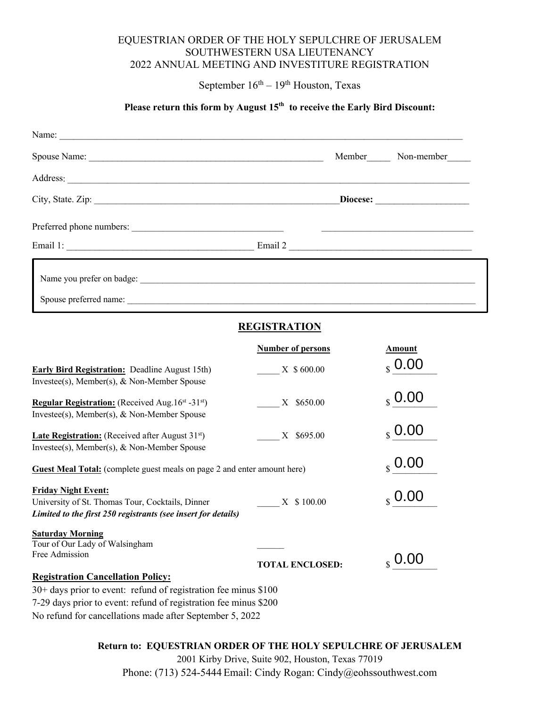### EQUESTRIAN ORDER OF THE HOLY SEPULCHRE OF JERUSALEM SOUTHWESTERN USA LIEUTENANCY 2022 ANNUAL MEETING AND INVESTITURE REGISTRATION

September  $16<sup>th</sup> - 19<sup>th</sup>$  Houston, Texas

# Please return this form by August 15<sup>th</sup> to receive the Early Bird Discount:

| Name:                                               |        |            |
|-----------------------------------------------------|--------|------------|
|                                                     | Member | Non-member |
| Address:                                            |        |            |
|                                                     |        |            |
| Preferred phone numbers:                            |        |            |
|                                                     |        | Email 2    |
| Name you prefer on badge:<br>Spouse preferred name: |        |            |

# **REGISTRATION**

|                                                                                                                   | <b>Number of persons</b> | <b>Amount</b>   |  |
|-------------------------------------------------------------------------------------------------------------------|--------------------------|-----------------|--|
| <b>Early Bird Registration:</b> Deadline August 15th)<br>Investee(s), Member(s), & Non-Member Spouse              | X \$600.00               | 0.00            |  |
| Regular Registration: (Received Aug. 16st - 31st)<br>Investee(s), Member(s), & Non-Member Spouse                  | \$650.00<br>X            | 0.00            |  |
| <b>Late Registration:</b> (Received after August $31st$ )<br>Investee(s), Member(s), & Non-Member Spouse          | \$695.00<br>X            | 0.00            |  |
| <b>Guest Meal Total:</b> (complete guest meals on page 2 and enter amount here)                                   | $_{\rm s}$ 0.00          |                 |  |
| <b>Friday Night Event:</b>                                                                                        |                          | $_{\rm s}$ 0.00 |  |
| University of St. Thomas Tour, Cocktails, Dinner<br>Limited to the first 250 registrants (see insert for details) | X \$100.00               |                 |  |
| <b>Saturday Morning</b><br>Tour of Our Lady of Walsingham<br>Free Admission                                       | <b>TOTAL ENCLOSED:</b>   |                 |  |
| <b>Registration Cancellation Policy:</b>                                                                          |                          |                 |  |
| $30+$ days prior to event: refund of registration fee minus \$100                                                 |                          |                 |  |
| 7-29 days prior to event: refund of registration fee minus \$200                                                  |                          |                 |  |
| No refund for cancellations made after September 5, 2022                                                          |                          |                 |  |

### **Return to: EQUESTRIAN ORDER OF THE HOLY SEPULCHRE OF JERUSALEM**

2001 Kirby Drive, Suite 902, Houston, Texas 77019

Phone: (713) 524-5444 Email: Cindy Rogan: Cindy@eohssouthwest.com